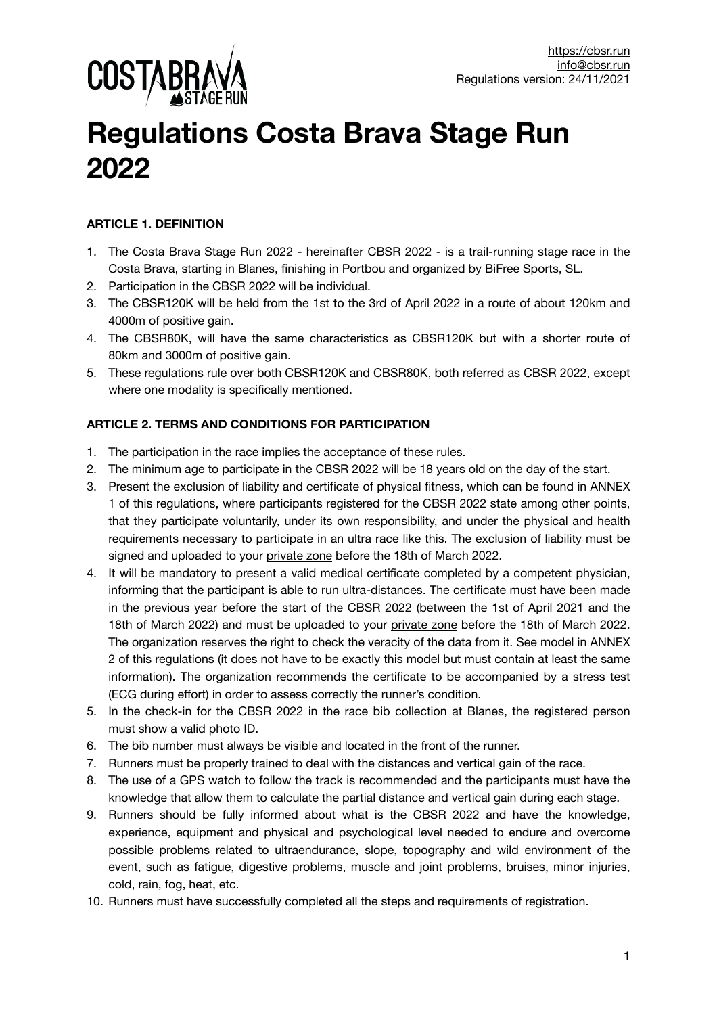

# **Regulations Costa Brava Stage Run 2022**

# **ARTICLE 1. DEFINITION**

- 1. The Costa Brava Stage Run 2022 hereinafter CBSR 2022 is a trail-running stage race in the Costa Brava, starting in Blanes, finishing in Portbou and organized by BiFree Sports, SL.
- 2. Participation in the CBSR 2022 will be individual.
- 3. The CBSR120K will be held from the 1st to the 3rd of April 2022 in a route of about 120km and 4000m of positive gain.
- 4. The CBSR80K, will have the same characteristics as CBSR120K but with a shorter route of 80km and 3000m of positive gain.
- 5. These regulations rule over both CBSR120K and CBSR80K, both referred as CBSR 2022, except where one modality is specifically mentioned.

# **ARTICLE 2. TERMS AND CONDITIONS FOR PARTICIPATION**

- 1. The participation in the race implies the acceptance of these rules.
- 2. The minimum age to participate in the CBSR 2022 will be 18 years old on the day of the start.
- 3. Present the exclusion of liability and certificate of physical fitness, which can be found in ANNEX 1 of this regulations, where participants registered for the CBSR 2022 state among other points, that they participate voluntarily, under its own responsibility, and under the physical and health requirements necessary to participate in an ultra race like this. The exclusion of liability must be signed and uploaded to your [private zone](https://cbsr.run/en/private-zone/) before the 18th of March 2022.
- 4. It will be mandatory to present a valid medical certificate completed by a competent physician, informing that the participant is able to run ultra-distances. The certificate must have been made in the previous year before the start of the CBSR 2022 (between the 1st of April 2021 and the 18th of March 2022) and must be uploaded to your [private zone](https://cbsr.run/en/private-zone/) before the 18th of March 2022. The organization reserves the right to check the veracity of the data from it. See model in ANNEX 2 of this regulations (it does not have to be exactly this model but must contain at least the same information). The organization recommends the certificate to be accompanied by a stress test (ECG during effort) in order to assess correctly the runner's condition.
- 5. In the check-in for the CBSR 2022 in the race bib collection at Blanes, the registered person must show a valid photo ID.
- 6. The bib number must always be visible and located in the front of the runner.
- 7. Runners must be properly trained to deal with the distances and vertical gain of the race.
- 8. The use of a GPS watch to follow the track is recommended and the participants must have the knowledge that allow them to calculate the partial distance and vertical gain during each stage.
- 9. Runners should be fully informed about what is the CBSR 2022 and have the knowledge, experience, equipment and physical and psychological level needed to endure and overcome possible problems related to ultraendurance, slope, topography and wild environment of the event, such as fatigue, digestive problems, muscle and joint problems, bruises, minor injuries, cold, rain, fog, heat, etc.
- 10. Runners must have successfully completed all the steps and requirements of registration.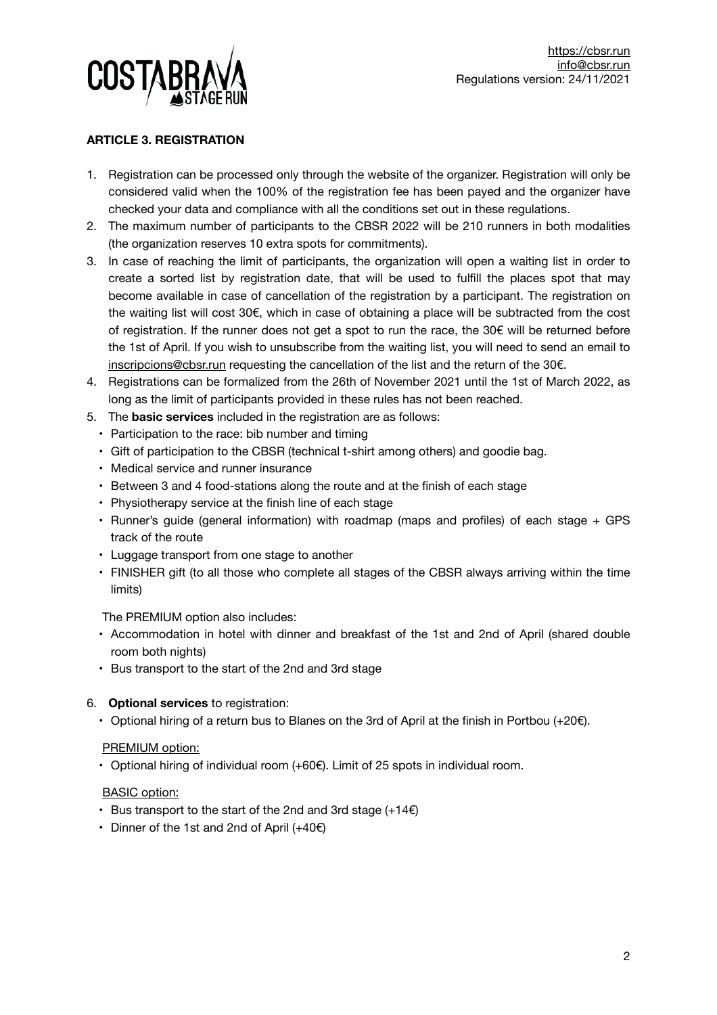

# **ARTICLE 3. REGISTRATION**

- 1. Registration can be processed only through the website of the organizer. Registration will only be considered valid when the 100% of the registration fee has been payed and the organizer have checked your data and compliance with all the conditions set out in these regulations.
- 2. The maximum number of participants to the CBSR 2022 will be 210 runners in both modalities (the organization reserves 10 extra spots for commitments).
- 3. In case of reaching the limit of participants, the organization will open a waiting list in order to create a sorted list by registration date, that will be used to fulfill the places spot that may become available in case of cancellation of the registration by a participant. The registration on the waiting list will cost 30€, which in case of obtaining a place will be subtracted from the cost of registration. If the runner does not get a spot to run the race, the 30€ will be returned before the 1st of April. If you wish to unsubscribe from the waiting list, you will need to send an email to [inscripcions@cbsr.run](mailto:inscripcions@cbsr.run) requesting the cancellation of the list and the return of the 30€.
- 4. Registrations can be formalized from the 26th of November 2021 until the 1st of March 2022, as long as the limit of participants provided in these rules has not been reached.
- 5. The **basic services** included in the registration are as follows:
	- Participation to the race: bib number and timing
	- Gift of participation to the CBSR (technical t-shirt among others) and goodie bag.
	- Medical service and runner insurance
	- Between 3 and 4 food-stations along the route and at the finish of each stage
	- Physiotherapy service at the finish line of each stage
	- Runner's guide (general information) with roadmap (maps and profiles) of each stage + GPS track of the route
	- Luggage transport from one stage to another
	- FINISHER gift (to all those who complete all stages of the CBSR always arriving within the time limits)

The PREMIUM option also includes:

- Accommodation in hotel with dinner and breakfast of the 1st and 2nd of April (shared double room both nights)
- Bus transport to the start of the 2nd and 3rd stage

#### 6. **Optional services** to registration:

• Optional hiring of a return bus to Blanes on the 3rd of April at the finish in Portbou (+20€).

#### PREMIUM option:

• Optional hiring of individual room (+60€). Limit of 25 spots in individual room.

#### BASIC option:

- Bus transport to the start of the 2nd and 3rd stage  $(+14)$
- Dinner of the 1st and 2nd of April (+40€)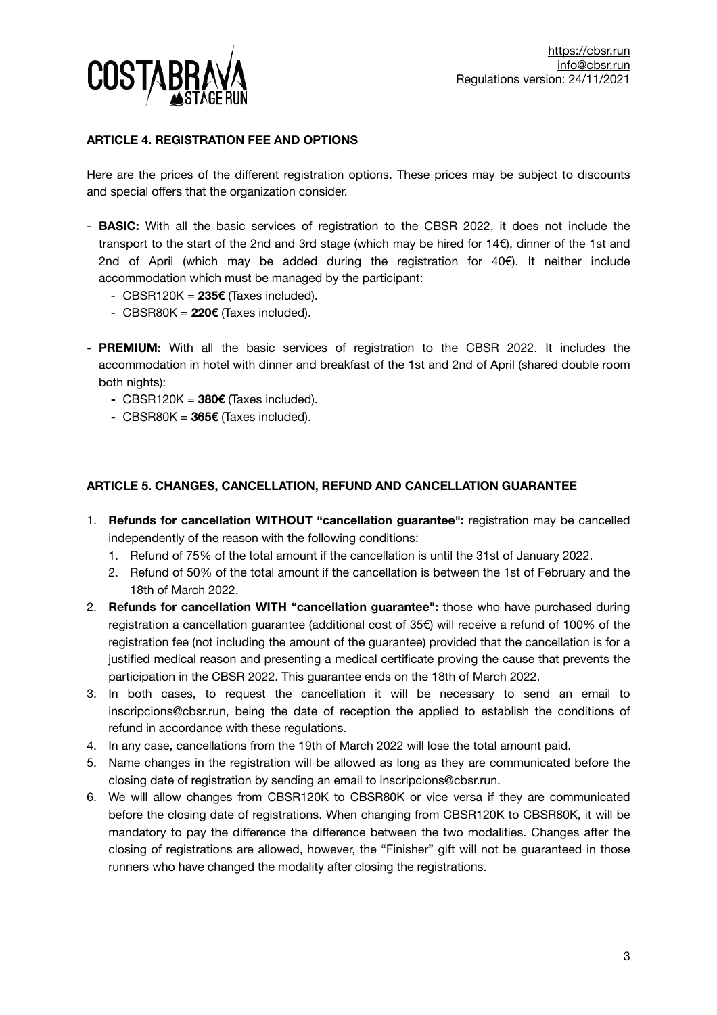

# **ARTICLE 4. REGISTRATION FEE AND OPTIONS**

Here are the prices of the different registration options. These prices may be subject to discounts and special offers that the organization consider.

- **BASIC:** With all the basic services of registration to the CBSR 2022, it does not include the transport to the start of the 2nd and 3rd stage (which may be hired for 14€), dinner of the 1st and 2nd of April (which may be added during the registration for  $40\epsilon$ ). It neither include accommodation which must be managed by the participant:
	- CBSR120K = **235€** (Taxes included).
	- CBSR80K = **220€** (Taxes included).
- **- PREMIUM:** With all the basic services of registration to the CBSR 2022. It includes the accommodation in hotel with dinner and breakfast of the 1st and 2nd of April (shared double room both nights):
	- **-** CBSR120K = **380€** (Taxes included).
	- **-** CBSR80K = **365€** (Taxes included).

## **ARTICLE 5. CHANGES, CANCELLATION, REFUND AND CANCELLATION GUARANTEE**

- 1. **Refunds for cancellation WITHOUT "cancellation guarantee":** registration may be cancelled independently of the reason with the following conditions:
	- 1. Refund of 75% of the total amount if the cancellation is until the 31st of January 2022.
	- 2. Refund of 50% of the total amount if the cancellation is between the 1st of February and the 18th of March 2022.
- 2. **Refunds for cancellation WITH "cancellation guarantee":** those who have purchased during registration a cancellation guarantee (additional cost of 35€) will receive a refund of 100% of the registration fee (not including the amount of the guarantee) provided that the cancellation is for a justified medical reason and presenting a medical certificate proving the cause that prevents the participation in the CBSR 2022. This guarantee ends on the 18th of March 2022.
- 3. In both cases, to request the cancellation it will be necessary to send an email to [inscripcions@cbsr.run](mailto:inscripcions@cbsr.run?subject=), being the date of reception the applied to establish the conditions of refund in accordance with these regulations.
- 4. In any case, cancellations from the 19th of March 2022 will lose the total amount paid.
- 5. Name changes in the registration will be allowed as long as they are communicated before the closing date of registration by sending an email to [inscripcions@cbsr.run.](mailto:inscripcions@cbsr.run)
- 6. We will allow changes from CBSR120K to CBSR80K or vice versa if they are communicated before the closing date of registrations. When changing from CBSR120K to CBSR80K, it will be mandatory to pay the difference the difference between the two modalities. Changes after the closing of registrations are allowed, however, the "Finisher" gift will not be guaranteed in those runners who have changed the modality after closing the registrations.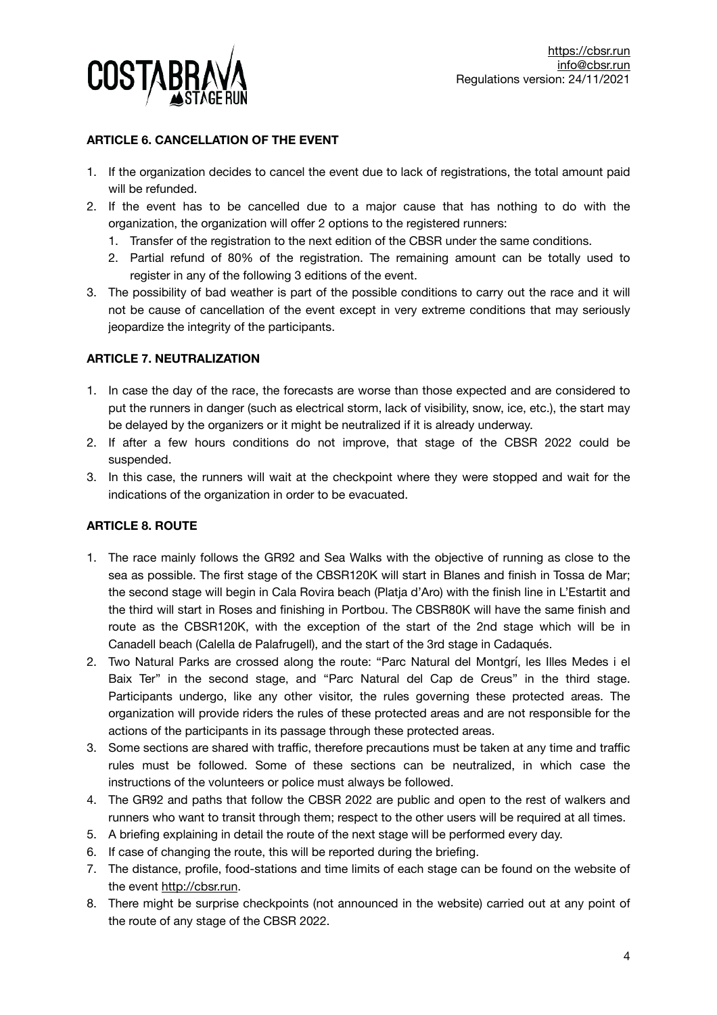

# **ARTICLE 6. CANCELLATION OF THE EVENT**

- 1. If the organization decides to cancel the event due to lack of registrations, the total amount paid will be refunded.
- 2. If the event has to be cancelled due to a major cause that has nothing to do with the organization, the organization will offer 2 options to the registered runners:
	- 1. Transfer of the registration to the next edition of the CBSR under the same conditions.
	- 2. Partial refund of 80% of the registration. The remaining amount can be totally used to register in any of the following 3 editions of the event.
- 3. The possibility of bad weather is part of the possible conditions to carry out the race and it will not be cause of cancellation of the event except in very extreme conditions that may seriously jeopardize the integrity of the participants.

## **ARTICLE 7. NEUTRALIZATION**

- 1. In case the day of the race, the forecasts are worse than those expected and are considered to put the runners in danger (such as electrical storm, lack of visibility, snow, ice, etc.), the start may be delayed by the organizers or it might be neutralized if it is already underway.
- 2. If after a few hours conditions do not improve, that stage of the CBSR 2022 could be suspended.
- 3. In this case, the runners will wait at the checkpoint where they were stopped and wait for the indications of the organization in order to be evacuated.

# **ARTICLE 8. ROUTE**

- 1. The race mainly follows the GR92 and Sea Walks with the objective of running as close to the sea as possible. The first stage of the CBSR120K will start in Blanes and finish in Tossa de Mar; the second stage will begin in Cala Rovira beach (Platja d'Aro) with the finish line in L'Estartit and the third will start in Roses and finishing in Portbou. The CBSR80K will have the same finish and route as the CBSR120K, with the exception of the start of the 2nd stage which will be in Canadell beach (Calella de Palafrugell), and the start of the 3rd stage in Cadaqués.
- 2. Two Natural Parks are crossed along the route: "Parc Natural del Montgrí, les Illes Medes i el Baix Ter" in the second stage, and "Parc Natural del Cap de Creus" in the third stage. Participants undergo, like any other visitor, the rules governing these protected areas. The organization will provide riders the rules of these protected areas and are not responsible for the actions of the participants in its passage through these protected areas.
- 3. Some sections are shared with traffic, therefore precautions must be taken at any time and traffic rules must be followed. Some of these sections can be neutralized, in which case the instructions of the volunteers or police must always be followed.
- 4. The GR92 and paths that follow the CBSR 2022 are public and open to the rest of walkers and runners who want to transit through them; respect to the other users will be required at all times.
- 5. A briefing explaining in detail the route of the next stage will be performed every day.
- 6. If case of changing the route, this will be reported during the briefing.
- 7. The distance, profile, food-stations and time limits of each stage can be found on the website of the event<http://cbsr.run>.
- 8. There might be surprise checkpoints (not announced in the website) carried out at any point of the route of any stage of the CBSR 2022.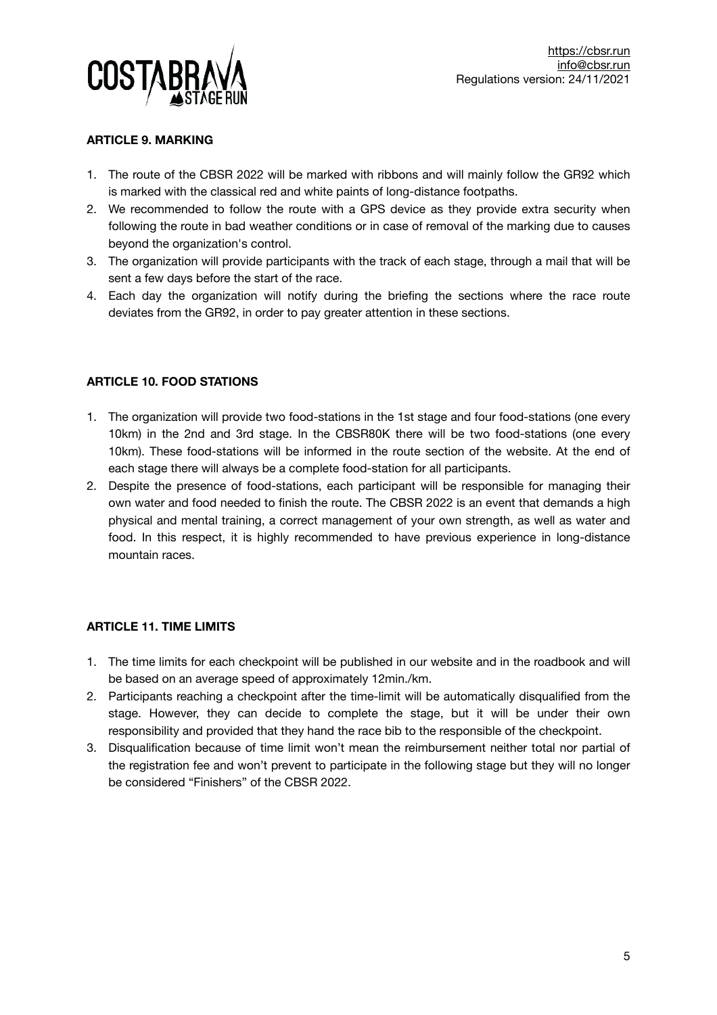

## **ARTICLE 9. MARKING**

- 1. The route of the CBSR 2022 will be marked with ribbons and will mainly follow the GR92 which is marked with the classical red and white paints of long-distance footpaths.
- 2. We recommended to follow the route with a GPS device as they provide extra security when following the route in bad weather conditions or in case of removal of the marking due to causes beyond the organization's control.
- 3. The organization will provide participants with the track of each stage, through a mail that will be sent a few days before the start of the race.
- 4. Each day the organization will notify during the briefing the sections where the race route deviates from the GR92, in order to pay greater attention in these sections.

# **ARTICLE 10. FOOD STATIONS**

- 1. The organization will provide two food-stations in the 1st stage and four food-stations (one every 10km) in the 2nd and 3rd stage. In the CBSR80K there will be two food-stations (one every 10km). These food-stations will be informed in the route section of the website. At the end of each stage there will always be a complete food-station for all participants.
- 2. Despite the presence of food-stations, each participant will be responsible for managing their own water and food needed to finish the route. The CBSR 2022 is an event that demands a high physical and mental training, a correct management of your own strength, as well as water and food. In this respect, it is highly recommended to have previous experience in long-distance mountain races.

# **ARTICLE 11. TIME LIMITS**

- 1. The time limits for each checkpoint will be published in our website and in the roadbook and will be based on an average speed of approximately 12min./km.
- 2. Participants reaching a checkpoint after the time-limit will be automatically disqualified from the stage. However, they can decide to complete the stage, but it will be under their own responsibility and provided that they hand the race bib to the responsible of the checkpoint.
- 3. Disqualification because of time limit won't mean the reimbursement neither total nor partial of the registration fee and won't prevent to participate in the following stage but they will no longer be considered "Finishers" of the CBSR 2022.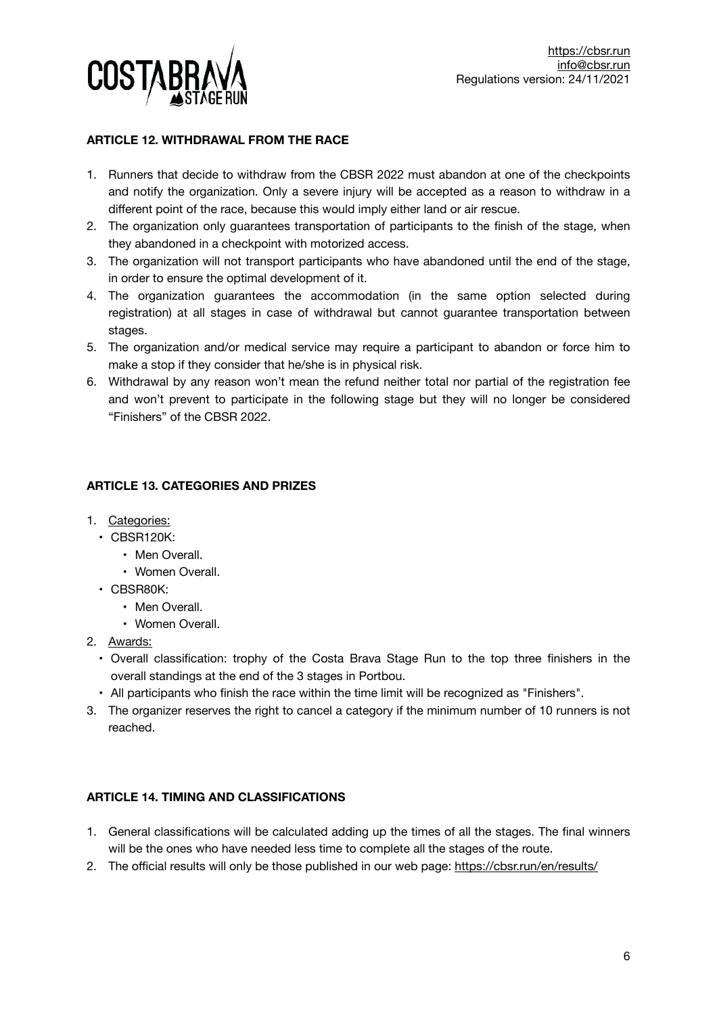

## **ARTICLE 12. WITHDRAWAL FROM THE RACE**

- 1. Runners that decide to withdraw from the CBSR 2022 must abandon at one of the checkpoints and notify the organization. Only a severe injury will be accepted as a reason to withdraw in a different point of the race, because this would imply either land or air rescue.
- 2. The organization only guarantees transportation of participants to the finish of the stage, when they abandoned in a checkpoint with motorized access.
- 3. The organization will not transport participants who have abandoned until the end of the stage, in order to ensure the optimal development of it.
- 4. The organization guarantees the accommodation (in the same option selected during registration) at all stages in case of withdrawal but cannot guarantee transportation between stages.
- 5. The organization and/or medical service may require a participant to abandon or force him to make a stop if they consider that he/she is in physical risk.
- 6. Withdrawal by any reason won't mean the refund neither total nor partial of the registration fee and won't prevent to participate in the following stage but they will no longer be considered "Finishers" of the CBSR 2022.

## **ARTICLE 13. CATEGORIES AND PRIZES**

- 1. Categories:
	- CBSR120K:
		- Men Overall.
		- Women Overall.
	- CBSR80K:
		- Men Overall.
		- Women Overall.
- 2. Awards:
	- Overall classification: trophy of the Costa Brava Stage Run to the top three finishers in the overall standings at the end of the 3 stages in Portbou.
- All participants who finish the race within the time limit will be recognized as "Finishers".
- 3. The organizer reserves the right to cancel a category if the minimum number of 10 runners is not reached.

#### **ARTICLE 14. TIMING AND CLASSIFICATIONS**

- 1. General classifications will be calculated adding up the times of all the stages. The final winners will be the ones who have needed less time to complete all the stages of the route.
- 2. The official results will only be those published in our web page:<https://cbsr.run/en/results/>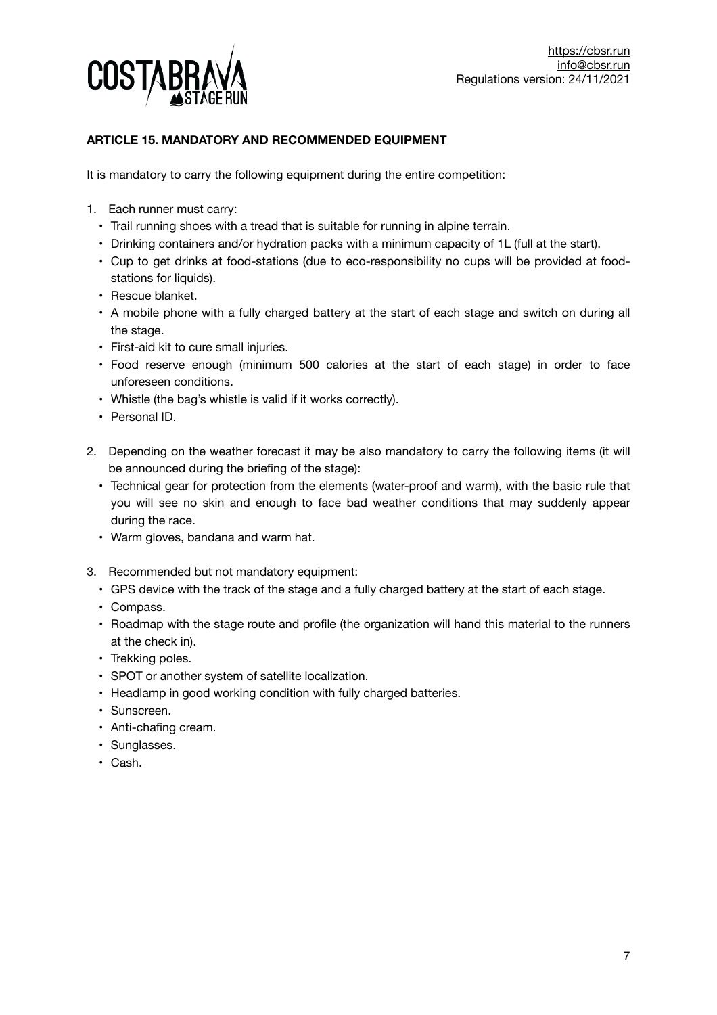

# **ARTICLE 15. MANDATORY AND RECOMMENDED EQUIPMENT**

It is mandatory to carry the following equipment during the entire competition:

- 1. Each runner must carry:
	- Trail running shoes with a tread that is suitable for running in alpine terrain.
	- Drinking containers and/or hydration packs with a minimum capacity of 1L (full at the start).
	- Cup to get drinks at food-stations (due to eco-responsibility no cups will be provided at foodstations for liquids).
	- Rescue blanket.
	- A mobile phone with a fully charged battery at the start of each stage and switch on during all the stage.
	- First-aid kit to cure small injuries.
	- Food reserve enough (minimum 500 calories at the start of each stage) in order to face unforeseen conditions.
	- Whistle (the bag's whistle is valid if it works correctly).
	- Personal ID.
- 2. Depending on the weather forecast it may be also mandatory to carry the following items (it will be announced during the briefing of the stage):
	- Technical gear for protection from the elements (water-proof and warm), with the basic rule that you will see no skin and enough to face bad weather conditions that may suddenly appear during the race.
	- Warm gloves, bandana and warm hat.
- 3. Recommended but not mandatory equipment:
	- GPS device with the track of the stage and a fully charged battery at the start of each stage.
	- Compass.
	- Roadmap with the stage route and profile (the organization will hand this material to the runners at the check in).
	- Trekking poles.
	- SPOT or another system of satellite localization.
	- Headlamp in good working condition with fully charged batteries.
	- Sunscreen.
	- Anti-chafing cream.
	- Sunglasses.
	- Cash.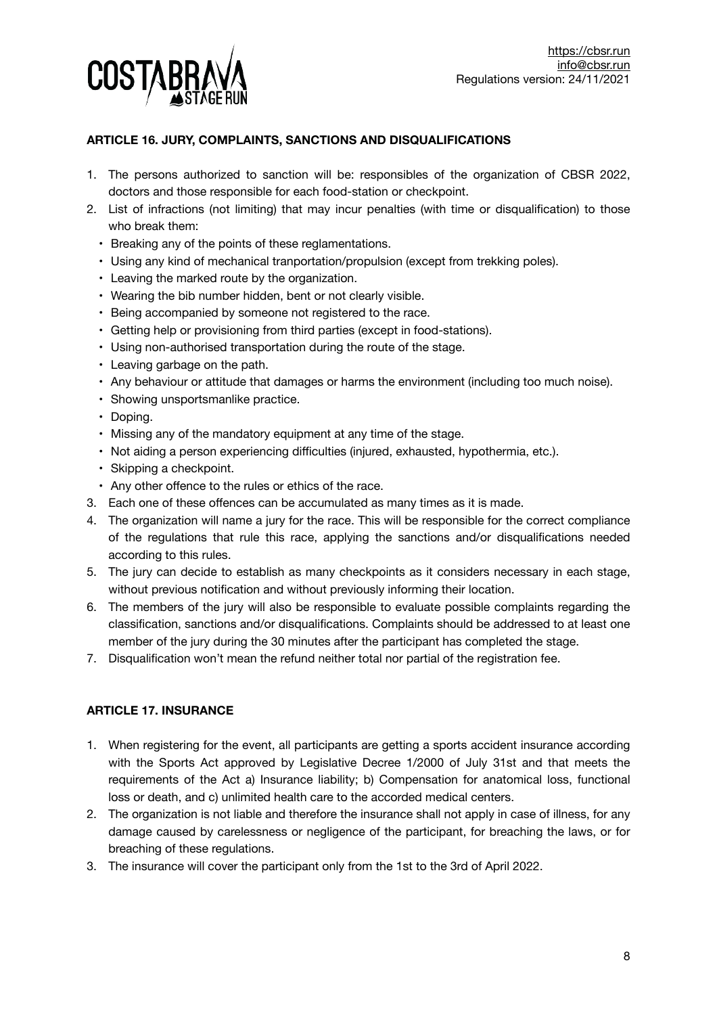

# **ARTICLE 16. JURY, COMPLAINTS, SANCTIONS AND DISQUALIFICATIONS**

- 1. The persons authorized to sanction will be: responsibles of the organization of CBSR 2022, doctors and those responsible for each food-station or checkpoint.
- 2. List of infractions (not limiting) that may incur penalties (with time or disqualification) to those who break them:
	- Breaking any of the points of these reglamentations.
	- Using any kind of mechanical tranportation/propulsion (except from trekking poles).
	- Leaving the marked route by the organization.
	- Wearing the bib number hidden, bent or not clearly visible.
	- Being accompanied by someone not registered to the race.
	- Getting help or provisioning from third parties (except in food-stations).
	- Using non-authorised transportation during the route of the stage.
	- Leaving garbage on the path.
	- Any behaviour or attitude that damages or harms the environment (including too much noise).
	- Showing unsportsmanlike practice.
	- Doping.
	- Missing any of the mandatory equipment at any time of the stage.
	- Not aiding a person experiencing difficulties (injured, exhausted, hypothermia, etc.).
	- Skipping a checkpoint.
	- Any other offence to the rules or ethics of the race.
- 3. Each one of these offences can be accumulated as many times as it is made.
- 4. The organization will name a jury for the race. This will be responsible for the correct compliance of the regulations that rule this race, applying the sanctions and/or disqualifications needed according to this rules.
- 5. The jury can decide to establish as many checkpoints as it considers necessary in each stage, without previous notification and without previously informing their location.
- 6. The members of the jury will also be responsible to evaluate possible complaints regarding the classification, sanctions and/or disqualifications. Complaints should be addressed to at least one member of the jury during the 30 minutes after the participant has completed the stage.
- 7. Disqualification won't mean the refund neither total nor partial of the registration fee.

# **ARTICLE 17. INSURANCE**

- 1. When registering for the event, all participants are getting a sports accident insurance according with the Sports Act approved by Legislative Decree 1/2000 of July 31st and that meets the requirements of the Act a) Insurance liability; b) Compensation for anatomical loss, functional loss or death, and c) unlimited health care to the accorded medical centers.
- 2. The organization is not liable and therefore the insurance shall not apply in case of illness, for any damage caused by carelessness or negligence of the participant, for breaching the laws, or for breaching of these regulations.
- 3. The insurance will cover the participant only from the 1st to the 3rd of April 2022.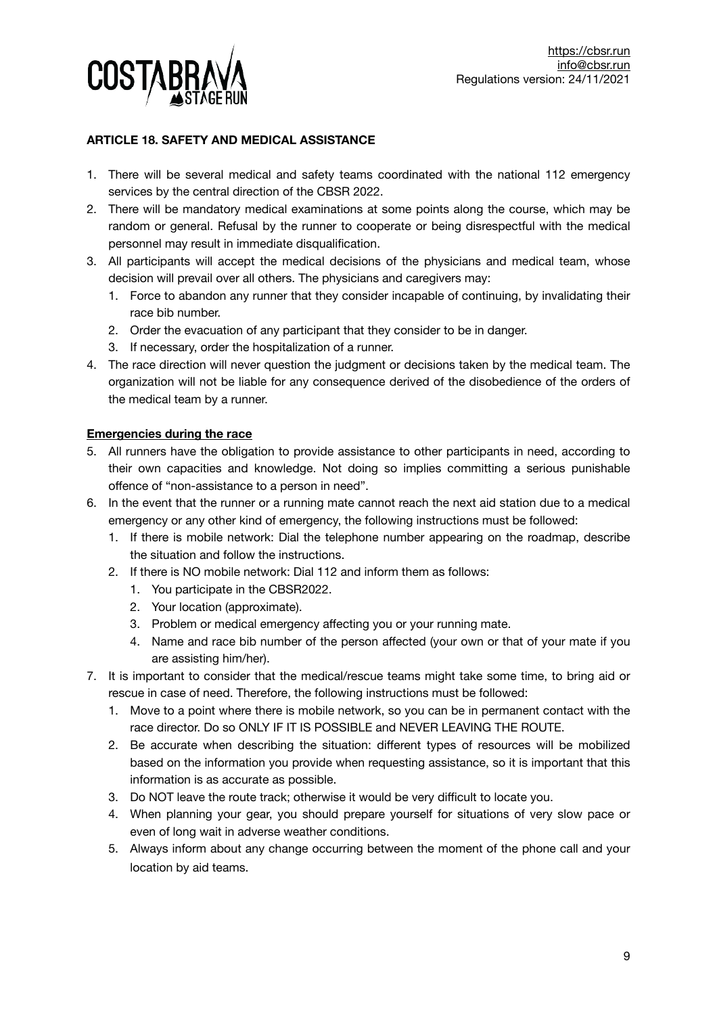

# **ARTICLE 18. SAFETY AND MEDICAL ASSISTANCE**

- 1. There will be several medical and safety teams coordinated with the national 112 emergency services by the central direction of the CBSR 2022.
- 2. There will be mandatory medical examinations at some points along the course, which may be random or general. Refusal by the runner to cooperate or being disrespectful with the medical personnel may result in immediate disqualification.
- 3. All participants will accept the medical decisions of the physicians and medical team, whose decision will prevail over all others. The physicians and caregivers may:
	- 1. Force to abandon any runner that they consider incapable of continuing, by invalidating their race bib number.
	- 2. Order the evacuation of any participant that they consider to be in danger.
	- 3. If necessary, order the hospitalization of a runner.
- 4. The race direction will never question the judgment or decisions taken by the medical team. The organization will not be liable for any consequence derived of the disobedience of the orders of the medical team by a runner.

#### **Emergencies during the race**

- 5. All runners have the obligation to provide assistance to other participants in need, according to their own capacities and knowledge. Not doing so implies committing a serious punishable offence of "non-assistance to a person in need".
- 6. In the event that the runner or a running mate cannot reach the next aid station due to a medical emergency or any other kind of emergency, the following instructions must be followed:
	- 1. If there is mobile network: Dial the telephone number appearing on the roadmap, describe the situation and follow the instructions.
	- 2. If there is NO mobile network: Dial 112 and inform them as follows:
		- 1. You participate in the CBSR2022.
		- 2. Your location (approximate).
		- 3. Problem or medical emergency affecting you or your running mate.
		- 4. Name and race bib number of the person affected (your own or that of your mate if you are assisting him/her).
- 7. It is important to consider that the medical/rescue teams might take some time, to bring aid or rescue in case of need. Therefore, the following instructions must be followed:
	- 1. Move to a point where there is mobile network, so you can be in permanent contact with the race director. Do so ONLY IF IT IS POSSIBLE and NEVER LEAVING THE ROUTE.
	- 2. Be accurate when describing the situation: different types of resources will be mobilized based on the information you provide when requesting assistance, so it is important that this information is as accurate as possible.
	- 3. Do NOT leave the route track; otherwise it would be very difficult to locate you.
	- 4. When planning your gear, you should prepare yourself for situations of very slow pace or even of long wait in adverse weather conditions.
	- 5. Always inform about any change occurring between the moment of the phone call and your location by aid teams.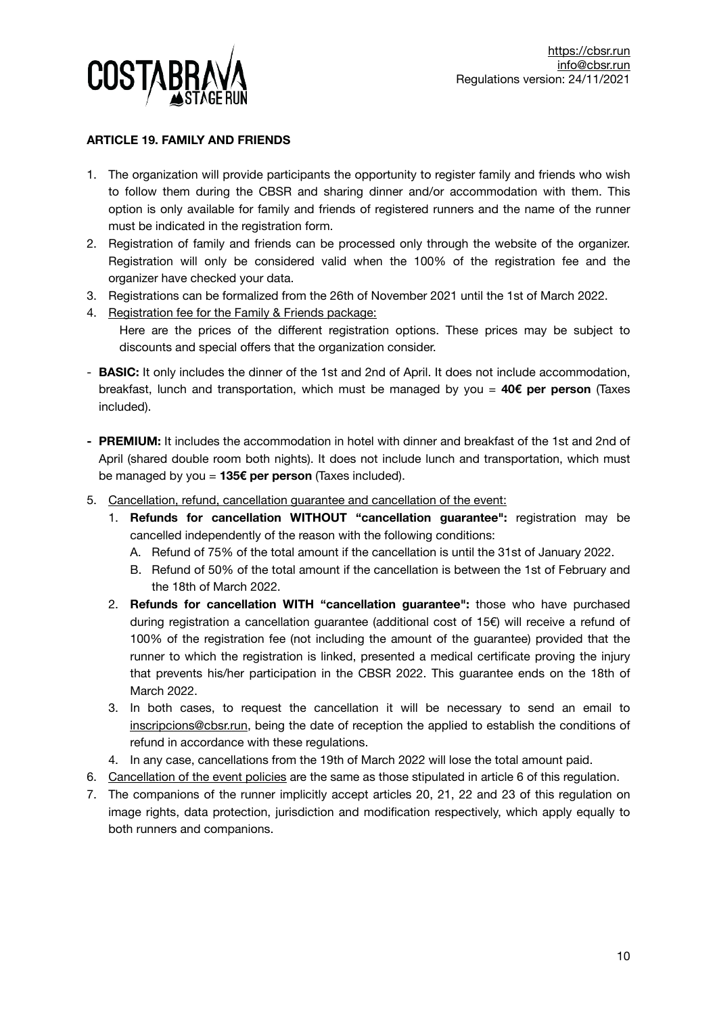

## **ARTICLE 19. FAMILY AND FRIENDS**

- 1. The organization will provide participants the opportunity to register family and friends who wish to follow them during the CBSR and sharing dinner and/or accommodation with them. This option is only available for family and friends of registered runners and the name of the runner must be indicated in the registration form.
- 2. Registration of family and friends can be processed only through the website of the organizer. Registration will only be considered valid when the 100% of the registration fee and the organizer have checked your data.
- 3. Registrations can be formalized from the 26th of November 2021 until the 1st of March 2022.
- 4. Registration fee for the Family & Friends package:
	- Here are the prices of the different registration options. These prices may be subject to discounts and special offers that the organization consider.
- **BASIC:** It only includes the dinner of the 1st and 2nd of April. It does not include accommodation, breakfast, lunch and transportation, which must be managed by you = **40€ per person** (Taxes included).
- **- PREMIUM:** It includes the accommodation in hotel with dinner and breakfast of the 1st and 2nd of April (shared double room both nights). It does not include lunch and transportation, which must be managed by you = **135€ per person** (Taxes included).
- 5. Cancellation, refund, cancellation guarantee and cancellation of the event:
	- 1. **Refunds for cancellation WITHOUT "cancellation guarantee":** registration may be cancelled independently of the reason with the following conditions:
		- A. Refund of 75% of the total amount if the cancellation is until the 31st of January 2022.
		- B. Refund of 50% of the total amount if the cancellation is between the 1st of February and the 18th of March 2022.
	- 2. **Refunds for cancellation WITH "cancellation guarantee":** those who have purchased during registration a cancellation guarantee (additional cost of 15€) will receive a refund of 100% of the registration fee (not including the amount of the guarantee) provided that the runner to which the registration is linked, presented a medical certificate proving the injury that prevents his/her participation in the CBSR 2022. This guarantee ends on the 18th of March 2022.
	- 3. In both cases, to request the cancellation it will be necessary to send an email to [inscripcions@cbsr.run](mailto:inscripcions@cbsr.run?subject=), being the date of reception the applied to establish the conditions of refund in accordance with these regulations.
	- 4. In any case, cancellations from the 19th of March 2022 will lose the total amount paid.
- 6. Cancellation of the event policies are the same as those stipulated in article 6 of this regulation.
- 7. The companions of the runner implicitly accept articles 20, 21, 22 and 23 of this regulation on image rights, data protection, jurisdiction and modification respectively, which apply equally to both runners and companions.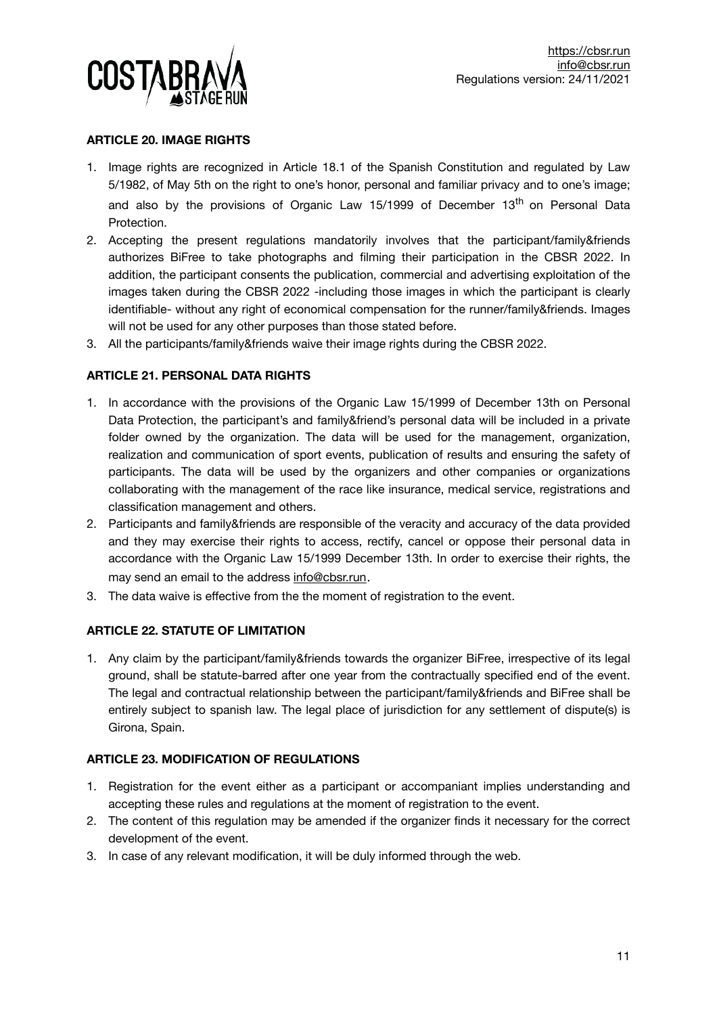

## **ARTICLE 20. IMAGE RIGHTS**

- 1. Image rights are recognized in Article 18.1 of the Spanish Constitution and regulated by Law 5/1982, of May 5th on the right to one's honor, personal and familiar privacy and to one's image; and also by the provisions of Organic Law  $15/1999$  of December  $13<sup>th</sup>$  on Personal Data Protection.
- 2. Accepting the present regulations mandatorily involves that the participant/family&friends authorizes BiFree to take photographs and filming their participation in the CBSR 2022. In addition, the participant consents the publication, commercial and advertising exploitation of the images taken during the CBSR 2022 -including those images in which the participant is clearly identifiable- without any right of economical compensation for the runner/family&friends. Images will not be used for any other purposes than those stated before.
- 3. All the participants/family&friends waive their image rights during the CBSR 2022.

## **ARTICLE 21. PERSONAL DATA RIGHTS**

- 1. In accordance with the provisions of the Organic Law 15/1999 of December 13th on Personal Data Protection, the participant's and family&friend's personal data will be included in a private folder owned by the organization. The data will be used for the management, organization, realization and communication of sport events, publication of results and ensuring the safety of participants. The data will be used by the organizers and other companies or organizations collaborating with the management of the race like insurance, medical service, registrations and classification management and others.
- 2. Participants and family&friends are responsible of the veracity and accuracy of the data provided and they may exercise their rights to access, rectify, cancel or oppose their personal data in accordance with the Organic Law 15/1999 December 13th. In order to exercise their rights, the may send an email to the address [info@cbsr.run](mailto:info@cbsr.run?subject=).
- 3. The data waive is effective from the the moment of registration to the event.

# **ARTICLE 22. STATUTE OF LIMITATION**

1. Any claim by the participant/family&friends towards the organizer BiFree, irrespective of its legal ground, shall be statute-barred after one year from the contractually specified end of the event. The legal and contractual relationship between the participant/family&friends and BiFree shall be entirely subject to spanish law. The legal place of jurisdiction for any settlement of dispute(s) is Girona, Spain.

## **ARTICLE 23. MODIFICATION OF REGULATIONS**

- 1. Registration for the event either as a participant or accompaniant implies understanding and accepting these rules and regulations at the moment of registration to the event.
- 2. The content of this regulation may be amended if the organizer finds it necessary for the correct development of the event.
- 3. In case of any relevant modification, it will be duly informed through the web.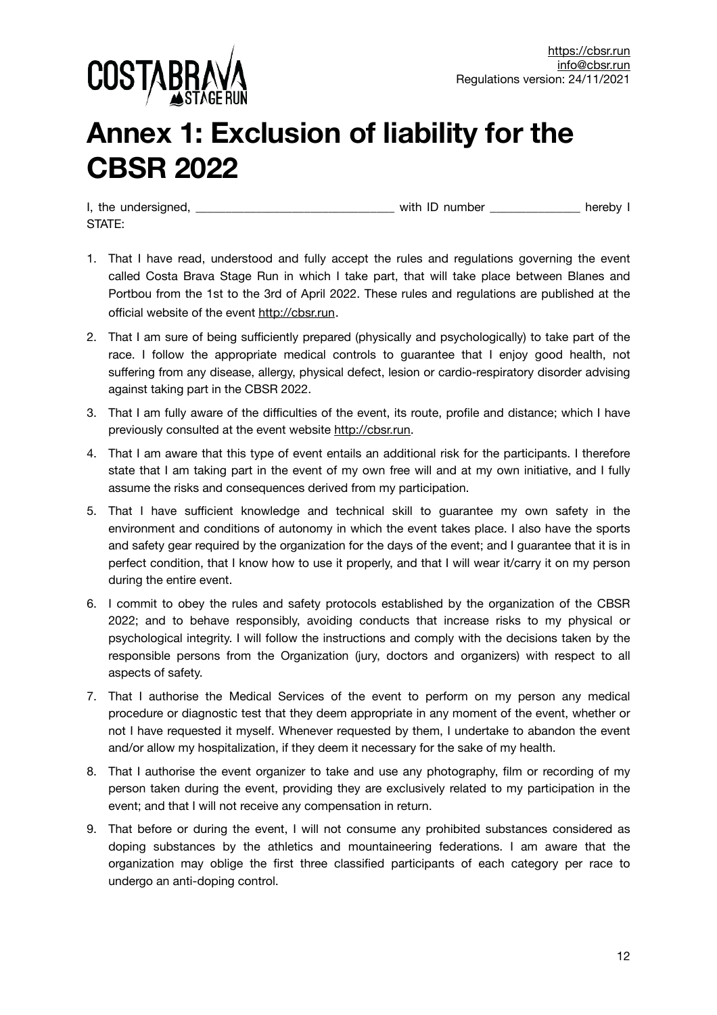

# **Annex 1: Exclusion of liability for the CBSR 2022**

I, the undersigned, the undersigned, the state of the state of the state of the state of the state of the state of the state of the state of the state of the state of the state of the state of the state of the state of the STATE:

- 1. That I have read, understood and fully accept the rules and regulations governing the event called Costa Brava Stage Run in which I take part, that will take place between Blanes and Portbou from the 1st to the 3rd of April 2022. These rules and regulations are published at the official website of the event <http://cbsr.run>.
- 2. That I am sure of being sufficiently prepared (physically and psychologically) to take part of the race. I follow the appropriate medical controls to guarantee that I enjoy good health, not suffering from any disease, allergy, physical defect, lesion or cardio-respiratory disorder advising against taking part in the CBSR 2022.
- 3. That I am fully aware of the difficulties of the event, its route, profile and distance; which I have previously consulted at the event website [http://cbsr.run.](http://cbsr.run)
- 4. That I am aware that this type of event entails an additional risk for the participants. I therefore state that I am taking part in the event of my own free will and at my own initiative, and I fully assume the risks and consequences derived from my participation.
- 5. That I have sufficient knowledge and technical skill to guarantee my own safety in the environment and conditions of autonomy in which the event takes place. I also have the sports and safety gear required by the organization for the days of the event; and I guarantee that it is in perfect condition, that I know how to use it properly, and that I will wear it/carry it on my person during the entire event.
- 6. I commit to obey the rules and safety protocols established by the organization of the CBSR 2022; and to behave responsibly, avoiding conducts that increase risks to my physical or psychological integrity. I will follow the instructions and comply with the decisions taken by the responsible persons from the Organization (jury, doctors and organizers) with respect to all aspects of safety.
- 7. That I authorise the Medical Services of the event to perform on my person any medical procedure or diagnostic test that they deem appropriate in any moment of the event, whether or not I have requested it myself. Whenever requested by them, I undertake to abandon the event and/or allow my hospitalization, if they deem it necessary for the sake of my health.
- 8. That I authorise the event organizer to take and use any photography, film or recording of my person taken during the event, providing they are exclusively related to my participation in the event; and that I will not receive any compensation in return.
- 9. That before or during the event, I will not consume any prohibited substances considered as doping substances by the athletics and mountaineering federations. I am aware that the organization may oblige the first three classified participants of each category per race to undergo an anti-doping control.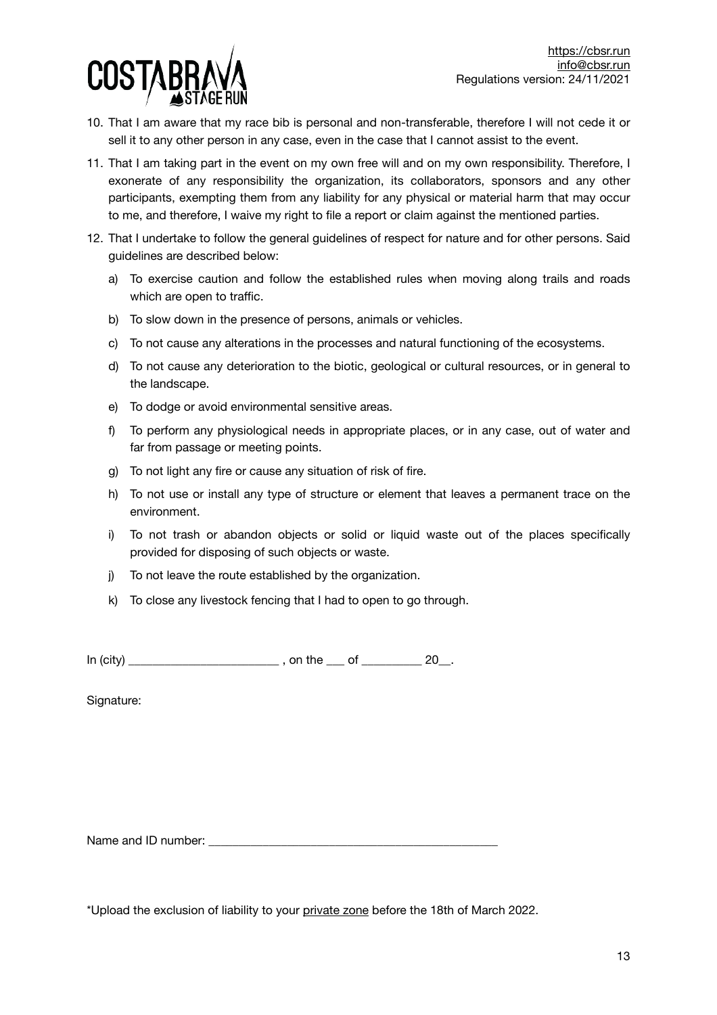

- 10. That I am aware that my race bib is personal and non-transferable, therefore I will not cede it or sell it to any other person in any case, even in the case that I cannot assist to the event.
- 11. That I am taking part in the event on my own free will and on my own responsibility. Therefore, I exonerate of any responsibility the organization, its collaborators, sponsors and any other participants, exempting them from any liability for any physical or material harm that may occur to me, and therefore, I waive my right to file a report or claim against the mentioned parties.
- 12. That I undertake to follow the general guidelines of respect for nature and for other persons. Said guidelines are described below:
	- a) To exercise caution and follow the established rules when moving along trails and roads which are open to traffic.
	- b) To slow down in the presence of persons, animals or vehicles.
	- c) To not cause any alterations in the processes and natural functioning of the ecosystems.
	- d) To not cause any deterioration to the biotic, geological or cultural resources, or in general to the landscape.
	- e) To dodge or avoid environmental sensitive areas.
	- f) To perform any physiological needs in appropriate places, or in any case, out of water and far from passage or meeting points.
	- g) To not light any fire or cause any situation of risk of fire.
	- h) To not use or install any type of structure or element that leaves a permanent trace on the environment.
	- i) To not trash or abandon objects or solid or liquid waste out of the places specifically provided for disposing of such objects or waste.
	- j) To not leave the route established by the organization.
	- k) To close any livestock fencing that I had to open to go through.

In (city) \_\_\_\_\_\_\_\_\_\_\_\_\_\_\_\_\_\_\_\_\_\_\_\_\_ , on the \_\_\_ of \_\_\_\_\_\_\_\_\_\_ 20\_\_.

Signature:

Name and ID number:

\*Upload the exclusion of liability to your [private zone](https://cbsr.run/en/private-zone/) before the 18th of March 2022.